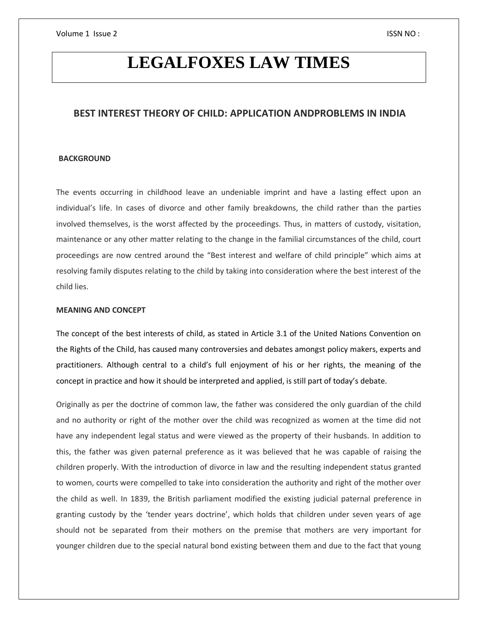# **LEGALFOXES LAW TIMES**

# **BEST INTEREST THEORY OF CHILD: APPLICATION ANDPROBLEMS IN INDIA**

#### **BACKGROUND**

The events occurring in childhood leave an undeniable imprint and have a lasting effect upon an individual's life. In cases of divorce and other family breakdowns, the child rather than the parties involved themselves, is the worst affected by the proceedings. Thus, in matters of custody, visitation, maintenance or any other matter relating to the change in the familial circumstances of the child, court proceedings are now centred around the "Best interest and welfare of child principle" which aims at resolving family disputes relating to the child by taking into consideration where the best interest of the child lies.

#### **MEANING AND CONCEPT**

The concept of the best interests of child, as stated in Article 3.1 of the United Nations Convention on the Rights of the Child, has caused many controversies and debates amongst policy makers, experts and practitioners. Although central to a child's full enjoyment of his or her rights, the meaning of the concept in practice and how it should be interpreted and applied, is still part of today's debate.

Originally as per the doctrine of common law, the father was considered the only guardian of the child and no authority or right of the mother over the child was recognized as women at the time did not have any independent legal status and were viewed as the property of their husbands. In addition to this, the father was given paternal preference as it was believed that he was capable of raising the children properly. With the introduction of divorce in law and the resulting independent status granted to women, courts were compelled to take into consideration the authority and right of the mother over the child as well. In 1839, the British parliament modified the existing judicial paternal preference in granting custody by the 'tender years doctrine', which holds that children under seven years of age should not be separated from their mothers on the premise that mothers are very important for younger children due to the special natural bond existing between them and due to the fact that young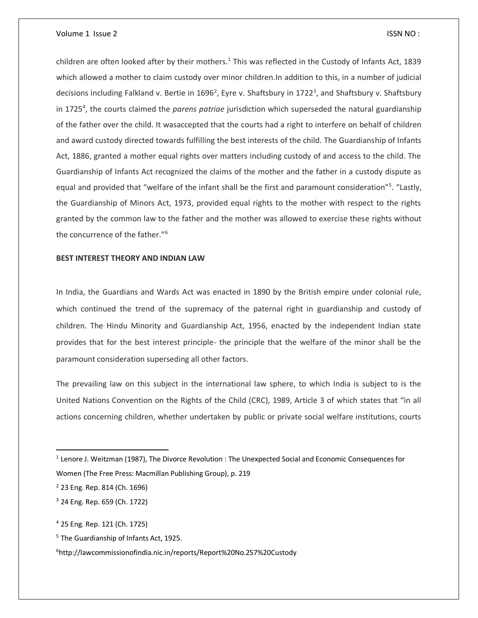children are often looked after by their mothers.<sup>1</sup> This was reflected in the Custody of Infants Act, 1839 which allowed a mother to claim custody over minor children.In addition to this, in a number of judicial decisions including Falkland v. Bertie in 1696<sup>2</sup>, Eyre v. Shaftsbury in 1722<sup>3</sup>, and Shaftsbury v. Shaftsbury in 1725<sup>4</sup>, the courts claimed the *parens patriae* jurisdiction which superseded the natural guardianship of the father over the child. It wasaccepted that the courts had a right to interfere on behalf of children and award custody directed towards fulfilling the best interests of the child. The Guardianship of Infants Act, 1886, granted a mother equal rights over matters including custody of and access to the child. The Guardianship of Infants Act recognized the claims of the mother and the father in a custody dispute as equal and provided that "welfare of the infant shall be the first and paramount consideration"<sup>5</sup>. "Lastly, the Guardianship of Minors Act, 1973, provided equal rights to the mother with respect to the rights granted by the common law to the father and the mother was allowed to exercise these rights without the concurrence of the father."<sup>6</sup>

# **BEST INTEREST THEORY AND INDIAN LAW**

In India, the Guardians and Wards Act was enacted in 1890 by the British empire under colonial rule, which continued the trend of the supremacy of the paternal right in guardianship and custody of children. The Hindu Minority and Guardianship Act, 1956, enacted by the independent Indian state provides that for the best interest principle- the principle that the welfare of the minor shall be the paramount consideration superseding all other factors.

The prevailing law on this subject in the international law sphere, to which India is subject to is the United Nations Convention on the Rights of the Child (CRC), 1989, Article 3 of which states that "in all actions concerning children, whether undertaken by public or private social welfare institutions, courts

<sup>&</sup>lt;sup>1</sup> Lenore J. Weitzman (1987), The Divorce Revolution : The Unexpected Social and Economic Consequences for Women (The Free Press: Macmillan Publishing Group), p. 219

<sup>2</sup> 23 Eng. Rep. 814 (Ch. 1696)

<sup>3</sup> 24 Eng. Rep. 659 (Ch. 1722)

<sup>4</sup> 25 Eng. Rep. 121 (Ch. 1725)

<sup>5</sup> The Guardianship of Infants Act, 1925.

<sup>6</sup>http://lawcommissionofindia.nic.in/reports/Report%20No.257%20Custody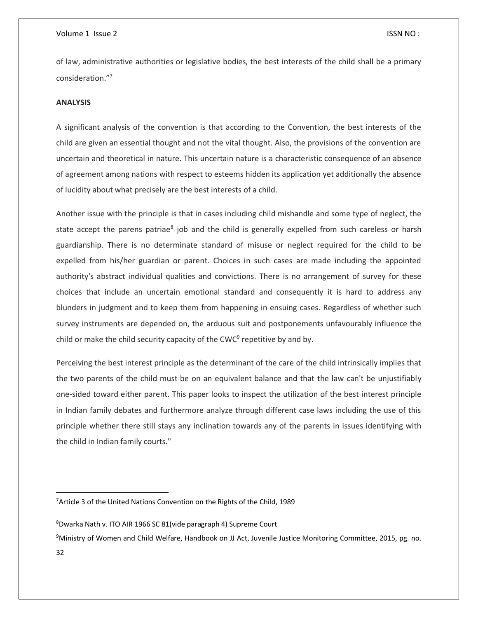of law, administrative authorities or legislative bodies, the best interests of the child shall be a primary consideration."<sup>7</sup>

# **ANALYSIS**

A significant analysis of the convention is that according to the Convention, the best interests of the child are given an essential thought and not the vital thought. Also, the provisions of the convention are uncertain and theoretical in nature. This uncertain nature is a characteristic consequence of an absence of agreement among nations with respect to esteems hidden its application yet additionally the absence of lucidity about what precisely are the best interests of a child.

Another issue with the principle is that in cases including child mishandle and some type of neglect, the state accept the parens patriae<sup>8</sup> job and the child is generally expelled from such careless or harsh guardianship. There is no determinate standard of misuse or neglect required for the child to be expelled from his/her guardian or parent. Choices in such cases are made including the appointed authority's abstract individual qualities and convictions. There is no arrangement of survey for these choices that include an uncertain emotional standard and consequently it is hard to address any blunders in judgment and to keep them from happening in ensuing cases. Regardless of whether such survey instruments are depended on, the arduous suit and postponements unfavourably influence the child or make the child security capacity of the CWC<sup>9</sup> repetitive by and by.

Perceiving the best interest principle as the determinant of the care of the child intrinsically implies that the two parents of the child must be on an equivalent balance and that the law can't be unjustifiably one-sided toward either parent. This paper looks to inspect the utilization of the best interest principle in Indian family debates and furthermore analyze through different case laws including the use of this principle whether there still stays any inclination towards any of the parents in issues identifying with the child in Indian family courts."

<sup>8</sup>Dwarka Nath v. ITO AIR 1966 SC 81(vide paragraph 4) Supreme Court

<sup>9</sup>Ministry of Women and Child Welfare, Handbook on JJ Act, Juvenile Justice Monitoring Committee, 2015, pg. no.

<sup>&</sup>lt;sup>7</sup> Article 3 of the United Nations Convention on the Rights of the Child, 1989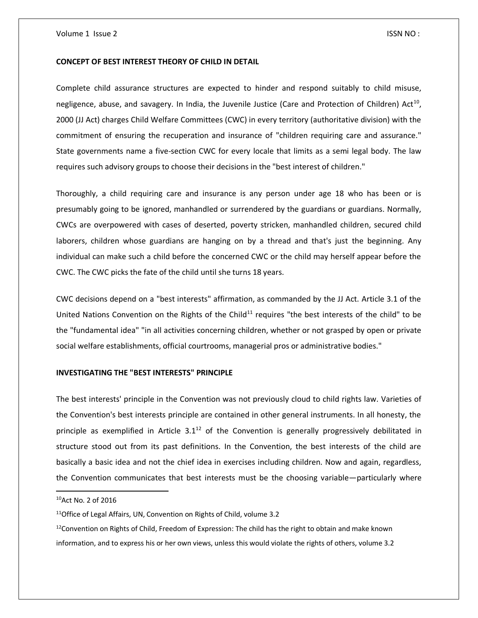#### **CONCEPT OF BEST INTEREST THEORY OF CHILD IN DETAIL**

Complete child assurance structures are expected to hinder and respond suitably to child misuse, negligence, abuse, and savagery. In India, the Juvenile Justice (Care and Protection of Children) Act<sup>10</sup>, 2000 (JJ Act) charges Child Welfare Committees (CWC) in every territory (authoritative division) with the commitment of ensuring the recuperation and insurance of "children requiring care and assurance." State governments name a five-section CWC for every locale that limits as a semi legal body. The law requires such advisory groups to choose their decisions in the "best interest of children."

Thoroughly, a child requiring care and insurance is any person under age 18 who has been or is presumably going to be ignored, manhandled or surrendered by the guardians or guardians. Normally, CWCs are overpowered with cases of deserted, poverty stricken, manhandled children, secured child laborers, children whose guardians are hanging on by a thread and that's just the beginning. Any individual can make such a child before the concerned CWC or the child may herself appear before the CWC. The CWC picks the fate of the child until she turns 18 years.

CWC decisions depend on a "best interests" affirmation, as commanded by the JJ Act. Article 3.1 of the United Nations Convention on the Rights of the Child<sup>11</sup> requires "the best interests of the child" to be the "fundamental idea" "in all activities concerning children, whether or not grasped by open or private social welfare establishments, official courtrooms, managerial pros or administrative bodies."

## **INVESTIGATING THE "BEST INTERESTS" PRINCIPLE**

The best interests' principle in the Convention was not previously cloud to child rights law. Varieties of the Convention's best interests principle are contained in other general instruments. In all honesty, the principle as exemplified in Article  $3.1^{12}$  of the Convention is generally progressively debilitated in structure stood out from its past definitions. In the Convention, the best interests of the child are basically a basic idea and not the chief idea in exercises including children. Now and again, regardless, the Convention communicates that best interests must be the choosing variable—particularly where

<sup>10</sup>Act No. 2 of 2016

<sup>&</sup>lt;sup>11</sup>Office of Legal Affairs, UN, Convention on Rights of Child, volume 3.2

 $12$ Convention on Rights of Child, Freedom of Expression: The child has the right to obtain and make known information, and to express his or her own views, unless this would violate the rights of others, volume 3.2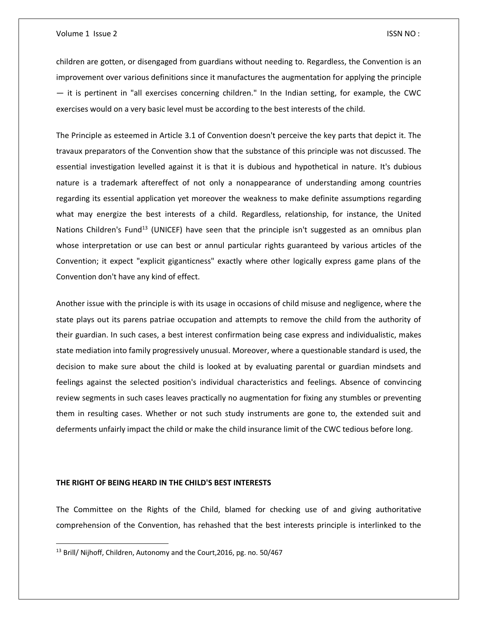children are gotten, or disengaged from guardians without needing to. Regardless, the Convention is an improvement over various definitions since it manufactures the augmentation for applying the principle — it is pertinent in "all exercises concerning children." In the Indian setting, for example, the CWC exercises would on a very basic level must be according to the best interests of the child.

The Principle as esteemed in Article 3.1 of Convention doesn't perceive the key parts that depict it. The travaux preparators of the Convention show that the substance of this principle was not discussed. The essential investigation levelled against it is that it is dubious and hypothetical in nature. It's dubious nature is a trademark aftereffect of not only a nonappearance of understanding among countries regarding its essential application yet moreover the weakness to make definite assumptions regarding what may energize the best interests of a child. Regardless, relationship, for instance, the United Nations Children's Fund<sup>13</sup> (UNICEF) have seen that the principle isn't suggested as an omnibus plan whose interpretation or use can best or annul particular rights guaranteed by various articles of the Convention; it expect "explicit giganticness" exactly where other logically express game plans of the Convention don't have any kind of effect.

Another issue with the principle is with its usage in occasions of child misuse and negligence, where the state plays out its parens patriae occupation and attempts to remove the child from the authority of their guardian. In such cases, a best interest confirmation being case express and individualistic, makes state mediation into family progressively unusual. Moreover, where a questionable standard is used, the decision to make sure about the child is looked at by evaluating parental or guardian mindsets and feelings against the selected position's individual characteristics and feelings. Absence of convincing review segments in such cases leaves practically no augmentation for fixing any stumbles or preventing them in resulting cases. Whether or not such study instruments are gone to, the extended suit and deferments unfairly impact the child or make the child insurance limit of the CWC tedious before long.

#### **THE RIGHT OF BEING HEARD IN THE CHILD'S BEST INTERESTS**

The Committee on the Rights of the Child, blamed for checking use of and giving authoritative comprehension of the Convention, has rehashed that the best interests principle is interlinked to the

<sup>&</sup>lt;sup>13</sup> Brill/ Nijhoff, Children, Autonomy and the Court, 2016, pg. no. 50/467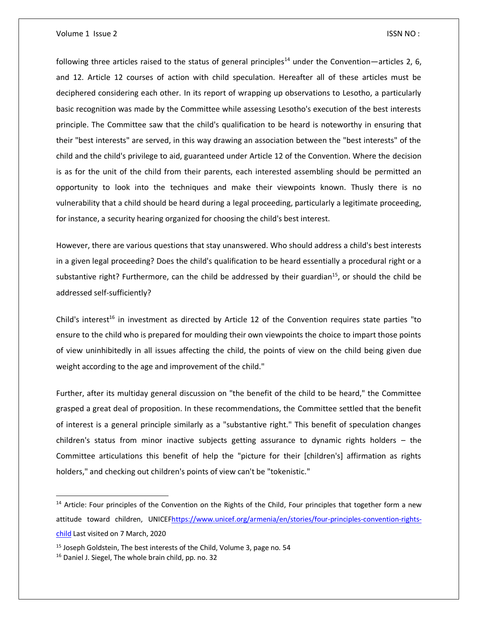following three articles raised to the status of general principles<sup>14</sup> under the Convention—articles 2, 6, and 12. Article 12 courses of action with child speculation. Hereafter all of these articles must be deciphered considering each other. In its report of wrapping up observations to Lesotho, a particularly basic recognition was made by the Committee while assessing Lesotho's execution of the best interests principle. The Committee saw that the child's qualification to be heard is noteworthy in ensuring that their "best interests" are served, in this way drawing an association between the "best interests" of the child and the child's privilege to aid, guaranteed under Article 12 of the Convention. Where the decision is as for the unit of the child from their parents, each interested assembling should be permitted an opportunity to look into the techniques and make their viewpoints known. Thusly there is no vulnerability that a child should be heard during a legal proceeding, particularly a legitimate proceeding, for instance, a security hearing organized for choosing the child's best interest.

However, there are various questions that stay unanswered. Who should address a child's best interests in a given legal proceeding? Does the child's qualification to be heard essentially a procedural right or a substantive right? Furthermore, can the child be addressed by their guardian<sup>15</sup>, or should the child be addressed self-sufficiently?

Child's interest<sup>16</sup> in investment as directed by Article 12 of the Convention requires state parties "to ensure to the child who is prepared for moulding their own viewpoints the choice to impart those points of view uninhibitedly in all issues affecting the child, the points of view on the child being given due weight according to the age and improvement of the child."

Further, after its multiday general discussion on "the benefit of the child to be heard," the Committee grasped a great deal of proposition. In these recommendations, the Committee settled that the benefit of interest is a general principle similarly as a "substantive right." This benefit of speculation changes children's status from minor inactive subjects getting assurance to dynamic rights holders – the Committee articulations this benefit of help the "picture for their [children's] affirmation as rights holders," and checking out children's points of view can't be "tokenistic."

<sup>&</sup>lt;sup>14</sup> Article: Four principles of the Convention on the Rights of the Child, Four principles that together form a new attitude toward children, UNICE[Fhttps://www.unicef.org/armenia/en/stories/four-principles-convention-rights](https://www.unicef.org/armenia/en/stories/four-principles-convention-rights-child)[child](https://www.unicef.org/armenia/en/stories/four-principles-convention-rights-child) Last visited on 7 March, 2020

 $15$  Joseph Goldstein, The best interests of the Child, Volume 3, page no. 54

<sup>&</sup>lt;sup>16</sup> Daniel J. Siegel, The whole brain child, pp. no. 32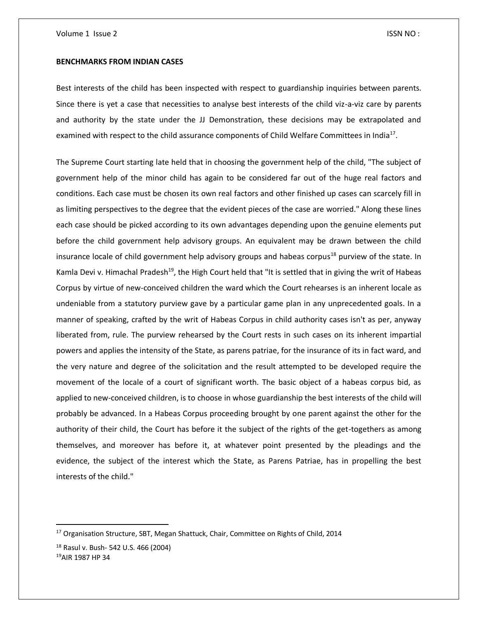#### **BENCHMARKS FROM INDIAN CASES**

Best interests of the child has been inspected with respect to guardianship inquiries between parents. Since there is yet a case that necessities to analyse best interests of the child viz-a-viz care by parents and authority by the state under the JJ Demonstration, these decisions may be extrapolated and examined with respect to the child assurance components of Child Welfare Committees in India<sup>17</sup>.

The Supreme Court starting late held that in choosing the government help of the child, "The subject of government help of the minor child has again to be considered far out of the huge real factors and conditions. Each case must be chosen its own real factors and other finished up cases can scarcely fill in as limiting perspectives to the degree that the evident pieces of the case are worried." Along these lines each case should be picked according to its own advantages depending upon the genuine elements put before the child government help advisory groups. An equivalent may be drawn between the child insurance locale of child government help advisory groups and habeas corpus<sup>18</sup> purview of the state. In Kamla Devi v. Himachal Pradesh<sup>19</sup>, the High Court held that "It is settled that in giving the writ of Habeas Corpus by virtue of new-conceived children the ward which the Court rehearses is an inherent locale as undeniable from a statutory purview gave by a particular game plan in any unprecedented goals. In a manner of speaking, crafted by the writ of Habeas Corpus in child authority cases isn't as per, anyway liberated from, rule. The purview rehearsed by the Court rests in such cases on its inherent impartial powers and applies the intensity of the State, as parens patriae, for the insurance of its in fact ward, and the very nature and degree of the solicitation and the result attempted to be developed require the movement of the locale of a court of significant worth. The basic object of a habeas corpus bid, as applied to new-conceived children, is to choose in whose guardianship the best interests of the child will probably be advanced. In a Habeas Corpus proceeding brought by one parent against the other for the authority of their child, the Court has before it the subject of the rights of the get-togethers as among themselves, and moreover has before it, at whatever point presented by the pleadings and the evidence, the subject of the interest which the State, as Parens Patriae, has in propelling the best interests of the child."

<sup>&</sup>lt;sup>17</sup> Organisation Structure, SBT, Megan Shattuck, Chair, Committee on Rights of Child, 2014

<sup>18</sup> Rasul v. Bush- 542 U.S. 466 (2004) 19AIR 1987 HP 34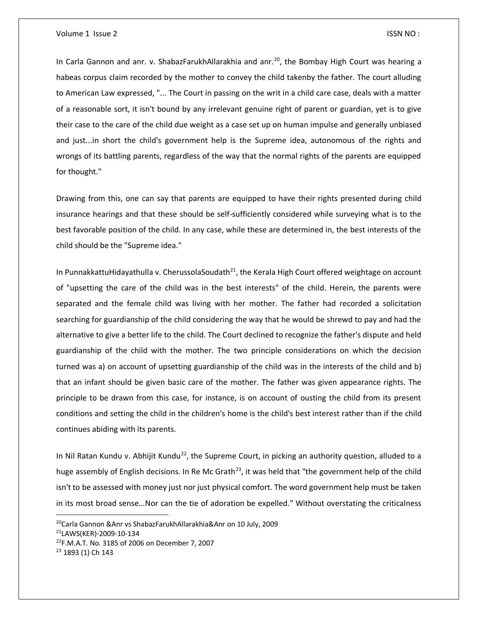In Carla Gannon and anr. v. ShabazFarukhAllarakhia and anr.<sup>20</sup>, the Bombay High Court was hearing a habeas corpus claim recorded by the mother to convey the child takenby the father. The court alluding to American Law expressed, "... The Court in passing on the writ in a child care case, deals with a matter of a reasonable sort, it isn't bound by any irrelevant genuine right of parent or guardian, yet is to give their case to the care of the child due weight as a case set up on human impulse and generally unbiased and just...in short the child's government help is the Supreme idea, autonomous of the rights and wrongs of its battling parents, regardless of the way that the normal rights of the parents are equipped for thought."

Drawing from this, one can say that parents are equipped to have their rights presented during child insurance hearings and that these should be self-sufficiently considered while surveying what is to the best favorable position of the child. In any case, while these are determined in, the best interests of the child should be the "Supreme idea."

In PunnakkattuHidayathulla v. CherussolaSoudath<sup>21</sup>, the Kerala High Court offered weightage on account of "upsetting the care of the child was in the best interests" of the child. Herein, the parents were separated and the female child was living with her mother. The father had recorded a solicitation searching for guardianship of the child considering the way that he would be shrewd to pay and had the alternative to give a better life to the child. The Court declined to recognize the father's dispute and held guardianship of the child with the mother. The two principle considerations on which the decision turned was a) on account of upsetting guardianship of the child was in the interests of the child and b) that an infant should be given basic care of the mother. The father was given appearance rights. The principle to be drawn from this case, for instance, is on account of ousting the child from its present conditions and setting the child in the children's home is the child's best interest rather than if the child continues abiding with its parents.

In Nil Ratan Kundu v. Abhijit Kundu<sup>22</sup>, the Supreme Court, in picking an authority question, alluded to a huge assembly of English decisions. In Re Mc Grath<sup>23</sup>, it was held that "the government help of the child isn't to be assessed with money just nor just physical comfort. The word government help must be taken in its most broad sense...Nor can the tie of adoration be expelled." Without overstating the criticalness

 $\overline{\phantom{a}}$ 

<sup>&</sup>lt;sup>20</sup>Carla Gannon & Anr vs Shabaz Farukh Allarakhia & Anr on 10 July, 2009

<sup>21</sup>LAWS(KER)-2009-10-134

<sup>22</sup>F.M.A.T. No. 3185 of 2006 on December 7, 2007

<sup>&</sup>lt;sup>23</sup> 1893 (1) Ch 143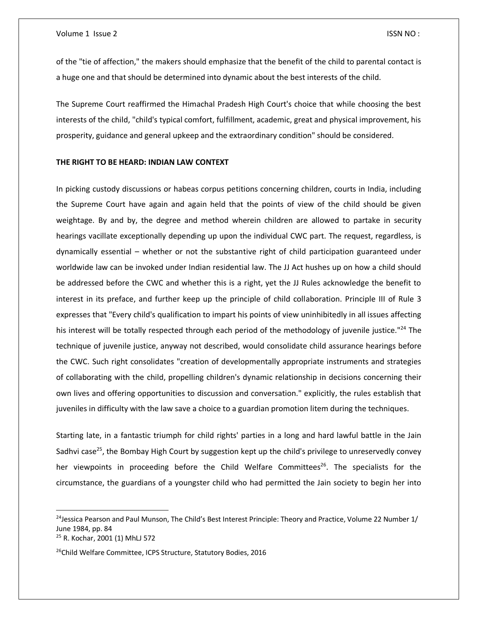of the "tie of affection," the makers should emphasize that the benefit of the child to parental contact is a huge one and that should be determined into dynamic about the best interests of the child.

The Supreme Court reaffirmed the Himachal Pradesh High Court's choice that while choosing the best interests of the child, "child's typical comfort, fulfillment, academic, great and physical improvement, his prosperity, guidance and general upkeep and the extraordinary condition" should be considered.

# **THE RIGHT TO BE HEARD: INDIAN LAW CONTEXT**

In picking custody discussions or habeas corpus petitions concerning children, courts in India, including the Supreme Court have again and again held that the points of view of the child should be given weightage. By and by, the degree and method wherein children are allowed to partake in security hearings vacillate exceptionally depending up upon the individual CWC part. The request, regardless, is dynamically essential – whether or not the substantive right of child participation guaranteed under worldwide law can be invoked under Indian residential law. The JJ Act hushes up on how a child should be addressed before the CWC and whether this is a right, yet the JJ Rules acknowledge the benefit to interest in its preface, and further keep up the principle of child collaboration. Principle III of Rule 3 expresses that "Every child's qualification to impart his points of view uninhibitedly in all issues affecting his interest will be totally respected through each period of the methodology of juvenile justice."<sup>24</sup> The technique of juvenile justice, anyway not described, would consolidate child assurance hearings before the CWC. Such right consolidates "creation of developmentally appropriate instruments and strategies of collaborating with the child, propelling children's dynamic relationship in decisions concerning their own lives and offering opportunities to discussion and conversation." explicitly, the rules establish that juveniles in difficulty with the law save a choice to a guardian promotion litem during the techniques.

Starting late, in a fantastic triumph for child rights' parties in a long and hard lawful battle in the Jain Sadhvi case<sup>25</sup>, the Bombay High Court by suggestion kept up the child's privilege to unreservedly convey her viewpoints in proceeding before the Child Welfare Committees<sup>26</sup>. The specialists for the circumstance, the guardians of a youngster child who had permitted the Jain society to begin her into

 $\overline{\phantom{a}}$ 

<sup>&</sup>lt;sup>24</sup>Jessica Pearson and Paul Munson, The Child's Best Interest Principle: Theory and Practice, Volume 22 Number  $1/$ June 1984, pp. 84 <sup>25</sup> R. Kochar, 2001 (1) MhLJ 572

<sup>&</sup>lt;sup>26</sup>Child Welfare Committee, ICPS Structure, Statutory Bodies, 2016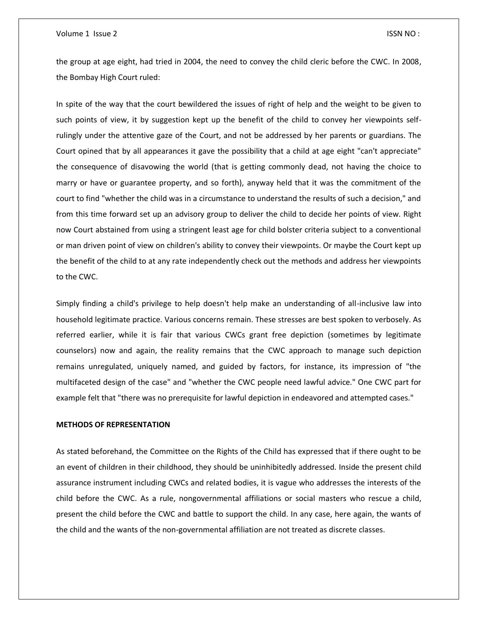the group at age eight, had tried in 2004, the need to convey the child cleric before the CWC. In 2008, the Bombay High Court ruled:

In spite of the way that the court bewildered the issues of right of help and the weight to be given to such points of view, it by suggestion kept up the benefit of the child to convey her viewpoints selfrulingly under the attentive gaze of the Court, and not be addressed by her parents or guardians. The Court opined that by all appearances it gave the possibility that a child at age eight "can't appreciate" the consequence of disavowing the world (that is getting commonly dead, not having the choice to marry or have or guarantee property, and so forth), anyway held that it was the commitment of the court to find "whether the child was in a circumstance to understand the results of such a decision," and from this time forward set up an advisory group to deliver the child to decide her points of view. Right now Court abstained from using a stringent least age for child bolster criteria subject to a conventional or man driven point of view on children's ability to convey their viewpoints. Or maybe the Court kept up the benefit of the child to at any rate independently check out the methods and address her viewpoints to the CWC.

Simply finding a child's privilege to help doesn't help make an understanding of all-inclusive law into household legitimate practice. Various concerns remain. These stresses are best spoken to verbosely. As referred earlier, while it is fair that various CWCs grant free depiction (sometimes by legitimate counselors) now and again, the reality remains that the CWC approach to manage such depiction remains unregulated, uniquely named, and guided by factors, for instance, its impression of "the multifaceted design of the case" and "whether the CWC people need lawful advice." One CWC part for example felt that "there was no prerequisite for lawful depiction in endeavored and attempted cases."

# **METHODS OF REPRESENTATION**

As stated beforehand, the Committee on the Rights of the Child has expressed that if there ought to be an event of children in their childhood, they should be uninhibitedly addressed. Inside the present child assurance instrument including CWCs and related bodies, it is vague who addresses the interests of the child before the CWC. As a rule, nongovernmental affiliations or social masters who rescue a child, present the child before the CWC and battle to support the child. In any case, here again, the wants of the child and the wants of the non-governmental affiliation are not treated as discrete classes.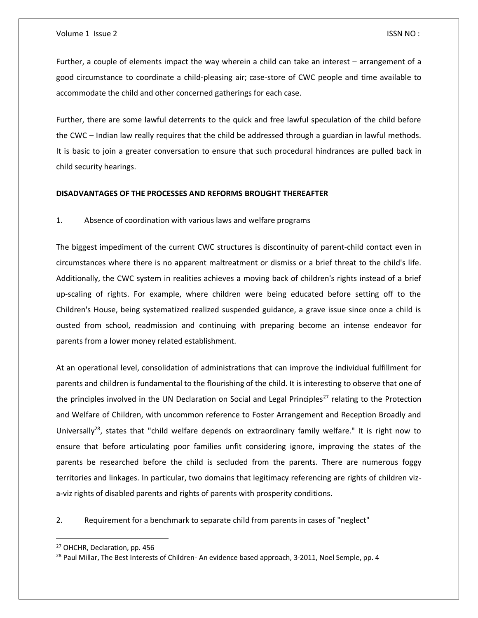Further, a couple of elements impact the way wherein a child can take an interest – arrangement of a good circumstance to coordinate a child-pleasing air; case-store of CWC people and time available to accommodate the child and other concerned gatherings for each case.

Further, there are some lawful deterrents to the quick and free lawful speculation of the child before the CWC – Indian law really requires that the child be addressed through a guardian in lawful methods. It is basic to join a greater conversation to ensure that such procedural hindrances are pulled back in child security hearings.

# **DISADVANTAGES OF THE PROCESSES AND REFORMS BROUGHT THEREAFTER**

1. Absence of coordination with various laws and welfare programs

The biggest impediment of the current CWC structures is discontinuity of parent-child contact even in circumstances where there is no apparent maltreatment or dismiss or a brief threat to the child's life. Additionally, the CWC system in realities achieves a moving back of children's rights instead of a brief up-scaling of rights. For example, where children were being educated before setting off to the Children's House, being systematized realized suspended guidance, a grave issue since once a child is ousted from school, readmission and continuing with preparing become an intense endeavor for parents from a lower money related establishment.

At an operational level, consolidation of administrations that can improve the individual fulfillment for parents and children is fundamental to the flourishing of the child. It is interesting to observe that one of the principles involved in the UN Declaration on Social and Legal Principles<sup>27</sup> relating to the Protection and Welfare of Children, with uncommon reference to Foster Arrangement and Reception Broadly and Universally<sup>28</sup>, states that "child welfare depends on extraordinary family welfare." It is right now to ensure that before articulating poor families unfit considering ignore, improving the states of the parents be researched before the child is secluded from the parents. There are numerous foggy territories and linkages. In particular, two domains that legitimacy referencing are rights of children viza-viz rights of disabled parents and rights of parents with prosperity conditions.

2. Requirement for a benchmark to separate child from parents in cases of "neglect"

 $\overline{\phantom{a}}$ 

<sup>27</sup> OHCHR, Declaration, pp. 456

<sup>&</sup>lt;sup>28</sup> Paul Millar, The Best Interests of Children- An evidence based approach, 3-2011, Noel Semple, pp. 4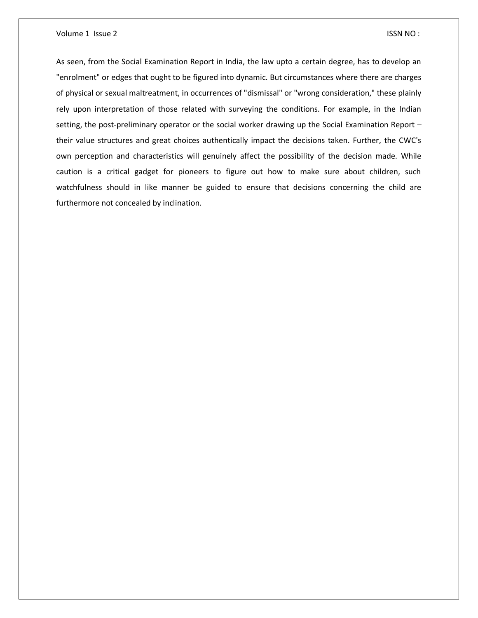As seen, from the Social Examination Report in India, the law upto a certain degree, has to develop an "enrolment" or edges that ought to be figured into dynamic. But circumstances where there are charges of physical or sexual maltreatment, in occurrences of "dismissal" or "wrong consideration," these plainly rely upon interpretation of those related with surveying the conditions. For example, in the Indian setting, the post-preliminary operator or the social worker drawing up the Social Examination Report – their value structures and great choices authentically impact the decisions taken. Further, the CWC's own perception and characteristics will genuinely affect the possibility of the decision made. While caution is a critical gadget for pioneers to figure out how to make sure about children, such watchfulness should in like manner be guided to ensure that decisions concerning the child are furthermore not concealed by inclination.